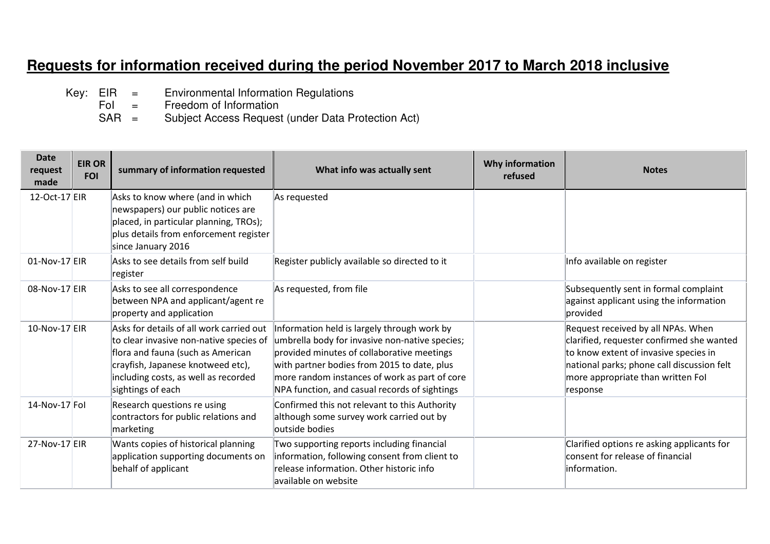## **Requests for information received during the period November 2017 to March 2018 inclusive**

- Key:  $EIR =$  Environmental Information Regulations<br>Fol = Freedom of Information
	- Freedom of Information
- SAR = Subject Access Request (under Data Protection Act)

| <b>Date</b><br>request<br>made | <b>EIR OR</b><br><b>FOI</b> | summary of information requested                                                                                                                                                                                           | What info was actually sent                                                                                                                                                                                                                                                                  | Why information<br>refused | <b>Notes</b>                                                                                                                                                                                                            |
|--------------------------------|-----------------------------|----------------------------------------------------------------------------------------------------------------------------------------------------------------------------------------------------------------------------|----------------------------------------------------------------------------------------------------------------------------------------------------------------------------------------------------------------------------------------------------------------------------------------------|----------------------------|-------------------------------------------------------------------------------------------------------------------------------------------------------------------------------------------------------------------------|
| 12-Oct-17 EIR                  |                             | Asks to know where (and in which<br>newspapers) our public notices are<br>placed, in particular planning, TROs);<br>plus details from enforcement register                                                                 | As requested                                                                                                                                                                                                                                                                                 |                            |                                                                                                                                                                                                                         |
| 01-Nov-17 EIR                  |                             | since January 2016<br>Asks to see details from self build<br>register                                                                                                                                                      | Register publicly available so directed to it                                                                                                                                                                                                                                                |                            | Info available on register                                                                                                                                                                                              |
| 08-Nov-17 EIR                  |                             | Asks to see all correspondence<br>between NPA and applicant/agent re<br>property and application                                                                                                                           | As requested, from file                                                                                                                                                                                                                                                                      |                            | Subsequently sent in formal complaint<br>against applicant using the information<br>provided                                                                                                                            |
| 10-Nov-17 EIR                  |                             | Asks for details of all work carried out<br>to clear invasive non-native species of<br>flora and fauna (such as American<br>crayfish, Japanese knotweed etc),<br>including costs, as well as recorded<br>sightings of each | Information held is largely through work by<br>umbrella body for invasive non-native species;<br>provided minutes of collaborative meetings<br>with partner bodies from 2015 to date, plus<br>more random instances of work as part of core<br>NPA function, and casual records of sightings |                            | Request received by all NPAs. When<br>clarified, requester confirmed she wanted<br>to know extent of invasive species in<br>national parks; phone call discussion felt<br>more appropriate than written Fol<br>response |
| 14-Nov-17 Fol                  |                             | Research questions re using<br>contractors for public relations and<br>marketing                                                                                                                                           | Confirmed this not relevant to this Authority<br>although some survey work carried out by<br>outside bodies                                                                                                                                                                                  |                            |                                                                                                                                                                                                                         |
| 27-Nov-17 EIR                  |                             | Wants copies of historical planning<br>application supporting documents on<br>behalf of applicant                                                                                                                          | Two supporting reports including financial<br>information, following consent from client to<br>release information. Other historic info<br>available on website                                                                                                                              |                            | Clarified options re asking applicants for<br>consent for release of financial<br>linformation.                                                                                                                         |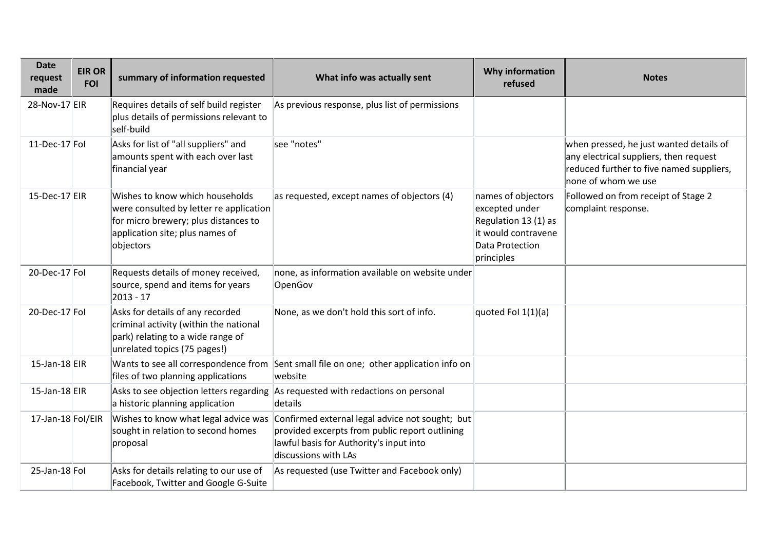| <b>Date</b><br>request<br>made | <b>EIR OR</b><br><b>FOI</b> | summary of information requested                                                                                                                                   | What info was actually sent                                                                                                                                          | Why information<br>refused                                                                                           | <b>Notes</b>                                                                                                                                         |
|--------------------------------|-----------------------------|--------------------------------------------------------------------------------------------------------------------------------------------------------------------|----------------------------------------------------------------------------------------------------------------------------------------------------------------------|----------------------------------------------------------------------------------------------------------------------|------------------------------------------------------------------------------------------------------------------------------------------------------|
| 28-Nov-17 EIR                  |                             | Requires details of self build register<br>plus details of permissions relevant to<br>self-build                                                                   | As previous response, plus list of permissions                                                                                                                       |                                                                                                                      |                                                                                                                                                      |
| 11-Dec-17 Fol                  |                             | Asks for list of "all suppliers" and<br>amounts spent with each over last<br>financial year                                                                        | see "notes"                                                                                                                                                          |                                                                                                                      | when pressed, he just wanted details of<br>any electrical suppliers, then request<br>reduced further to five named suppliers,<br>none of whom we use |
| $15$ -Dec-17 EIR               |                             | Wishes to know which households<br>were consulted by letter re application<br>for micro brewery; plus distances to<br>application site; plus names of<br>objectors | as requested, except names of objectors (4)                                                                                                                          | names of objectors<br>excepted under<br>Regulation 13 (1) as<br>it would contravene<br>Data Protection<br>principles | Followed on from receipt of Stage 2<br>complaint response.                                                                                           |
| 20-Dec-17 Fol                  |                             | Requests details of money received,<br>source, spend and items for years<br>2013 - 17                                                                              | none, as information available on website under<br>OpenGov                                                                                                           |                                                                                                                      |                                                                                                                                                      |
| 20-Dec-17 Fol                  |                             | Asks for details of any recorded<br>criminal activity (within the national<br>park) relating to a wide range of<br>unrelated topics (75 pages!)                    | None, as we don't hold this sort of info.                                                                                                                            | quoted Fol $1(1)(a)$                                                                                                 |                                                                                                                                                      |
| $15$ -Jan- $18$ EIR            |                             | files of two planning applications                                                                                                                                 | Wants to see all correspondence from Sent small file on one; other application info on<br>website                                                                    |                                                                                                                      |                                                                                                                                                      |
| $15$ -Jan- $18$ EIR            |                             | Asks to see objection letters regarding<br>a historic planning application                                                                                         | As requested with redactions on personal<br>details                                                                                                                  |                                                                                                                      |                                                                                                                                                      |
| 17-Jan-18 Fol/EIR              |                             | Wishes to know what legal advice was<br>sought in relation to second homes<br>proposal                                                                             | Confirmed external legal advice not sought; but<br>provided excerpts from public report outlining<br>lawful basis for Authority's input into<br>discussions with LAs |                                                                                                                      |                                                                                                                                                      |
| $25$ -Jan-18 Fol               |                             | Asks for details relating to our use of<br>Facebook, Twitter and Google G-Suite                                                                                    | As requested (use Twitter and Facebook only)                                                                                                                         |                                                                                                                      |                                                                                                                                                      |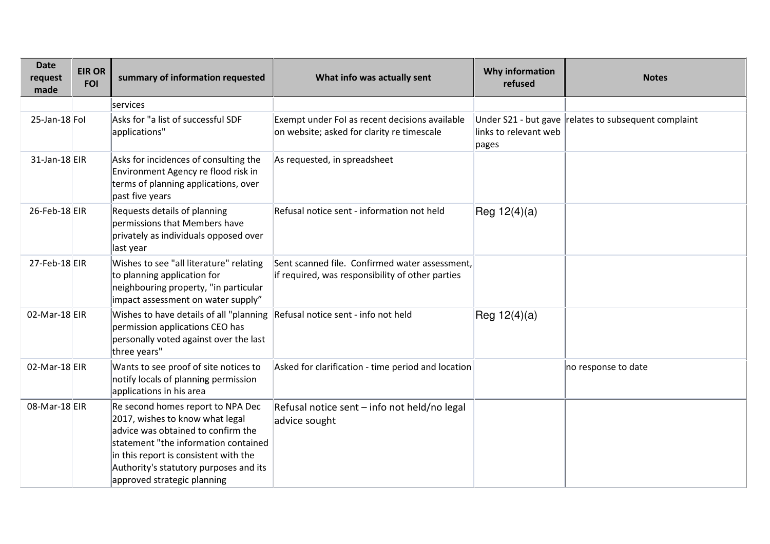| <b>Date</b><br>request<br>made | <b>EIR OR</b><br><b>FOI</b> | summary of information requested                                                                                                                                                                                                                                     | What info was actually sent                                                                        | Why information<br>refused     | <b>Notes</b>                                         |
|--------------------------------|-----------------------------|----------------------------------------------------------------------------------------------------------------------------------------------------------------------------------------------------------------------------------------------------------------------|----------------------------------------------------------------------------------------------------|--------------------------------|------------------------------------------------------|
|                                |                             | services                                                                                                                                                                                                                                                             |                                                                                                    |                                |                                                      |
| $25$ -Jan-18 Fol               |                             | Asks for "a list of successful SDF<br>applications"                                                                                                                                                                                                                  | Exempt under Fol as recent decisions available<br>on website; asked for clarity re timescale       | links to relevant web<br>pages | Under S21 - but gave relates to subsequent complaint |
| 31-Jan-18 EIR                  |                             | Asks for incidences of consulting the<br>Environment Agency re flood risk in<br>terms of planning applications, over<br>past five years                                                                                                                              | As requested, in spreadsheet                                                                       |                                |                                                      |
| 26-Feb-18 EIR                  |                             | Requests details of planning<br>permissions that Members have<br>privately as individuals opposed over<br>last year                                                                                                                                                  | Refusal notice sent - information not held                                                         | Reg $12(4)(a)$                 |                                                      |
| $27$ -Feb-18 EIR               |                             | Wishes to see "all literature" relating<br>to planning application for<br>neighbouring property, "in particular<br>impact assessment on water supply"                                                                                                                | Sent scanned file. Confirmed water assessment,<br>if required, was responsibility of other parties |                                |                                                      |
| $02$ -Mar-18 EIR               |                             | Wishes to have details of all "planning<br>permission applications CEO has<br>personally voted against over the last<br>three years"                                                                                                                                 | Refusal notice sent - info not held                                                                | Reg $12(4)(a)$                 |                                                      |
| $02$ -Mar-18 EIR               |                             | Wants to see proof of site notices to<br>notify locals of planning permission<br>applications in his area                                                                                                                                                            | Asked for clarification - time period and location                                                 |                                | no response to date                                  |
| 08-Mar-18 EIR                  |                             | Re second homes report to NPA Dec<br>2017, wishes to know what legal<br>advice was obtained to confirm the<br>statement "the information contained<br>in this report is consistent with the<br>Authority's statutory purposes and its<br>approved strategic planning | Refusal notice sent - info not held/no legal<br>advice sought                                      |                                |                                                      |